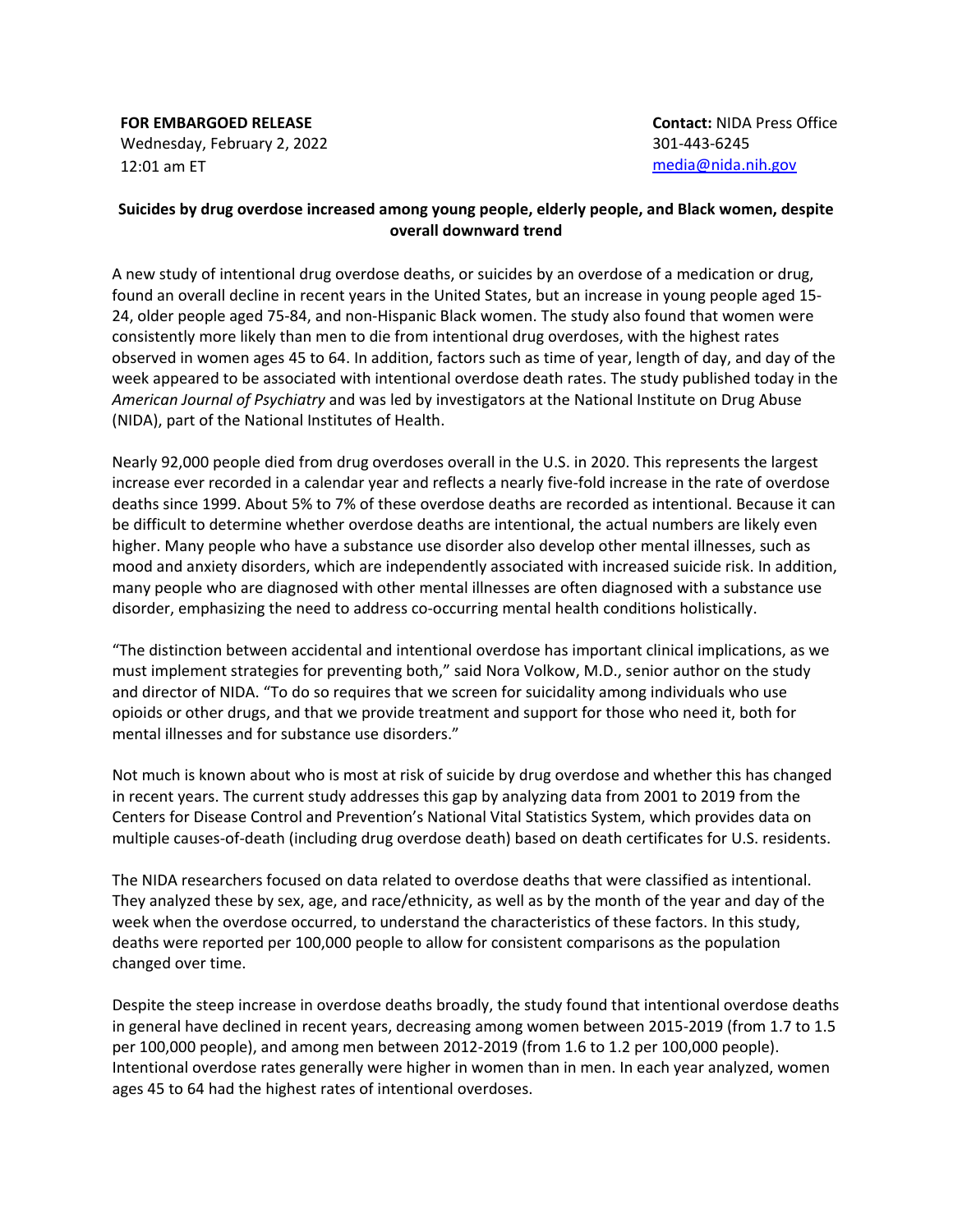**FOR EMBARGOED RELEASE** Wednesday, February 2, 2022 12:01 am ET

## **Suicides by drug overdose increased among young people, elderly people, and Black women, despite overall downward trend**

A new study of intentional drug overdose deaths, or suicides by an overdose of a medication or drug, found an overall decline in recent years in the United States, but an increase in young people aged 15- 24, older people aged 75-84, and non-Hispanic Black women. The study also found that women were consistently more likely than men to die from intentional drug overdoses, with the highest rates observed in women ages 45 to 64. In addition, factors such as time of year, length of day, and day of the week appeared to be associated with intentional overdose death rates. The study published today in the *American Journal of Psychiatry* and was led by investigators at the National Institute on Drug Abuse (NIDA), part of the National Institutes of Health.

Nearly 92,000 people died from drug overdoses overall in the U.S. in 2020. This represents the largest increase ever recorded in a calendar year and reflects a nearly five-fold increase in the rate of overdose deaths since 1999. About 5% to 7% of these overdose deaths are recorded as intentional. Because it can be difficult to determine whether overdose deaths are intentional, the actual numbers are likely even higher. Many people who have a substance use disorder also develop other mental illnesses, such as mood and anxiety disorders, which are independently associated with increased suicide risk. In addition, many people who are diagnosed with other mental illnesses are often diagnosed with a substance use disorder, emphasizing the need to address co-occurring mental health conditions holistically.

"The distinction between accidental and intentional overdose has important clinical implications, as we must implement strategies for preventing both," said Nora Volkow, M.D., senior author on the study and director of NIDA. "To do so requires that we screen for suicidality among individuals who use opioids or other drugs, and that we provide treatment and support for those who need it, both for mental illnesses and for substance use disorders."

Not much is known about who is most at risk of suicide by drug overdose and whether this has changed in recent years. The current study addresses this gap by analyzing data from 2001 to 2019 from the Centers for Disease Control and Prevention's National Vital Statistics System, which provides data on multiple causes-of-death (including drug overdose death) based on death certificates for U.S. residents.

The NIDA researchers focused on data related to overdose deaths that were classified as intentional. They analyzed these by sex, age, and race/ethnicity, as well as by the month of the year and day of the week when the overdose occurred, to understand the characteristics of these factors. In this study, deaths were reported per 100,000 people to allow for consistent comparisons as the population changed over time.

Despite the steep increase in overdose deaths broadly, the study found that intentional overdose deaths in general have declined in recent years, decreasing among women between 2015-2019 (from 1.7 to 1.5 per 100,000 people), and among men between 2012-2019 (from 1.6 to 1.2 per 100,000 people). Intentional overdose rates generally were higher in women than in men. In each year analyzed, women ages 45 to 64 had the highest rates of intentional overdoses.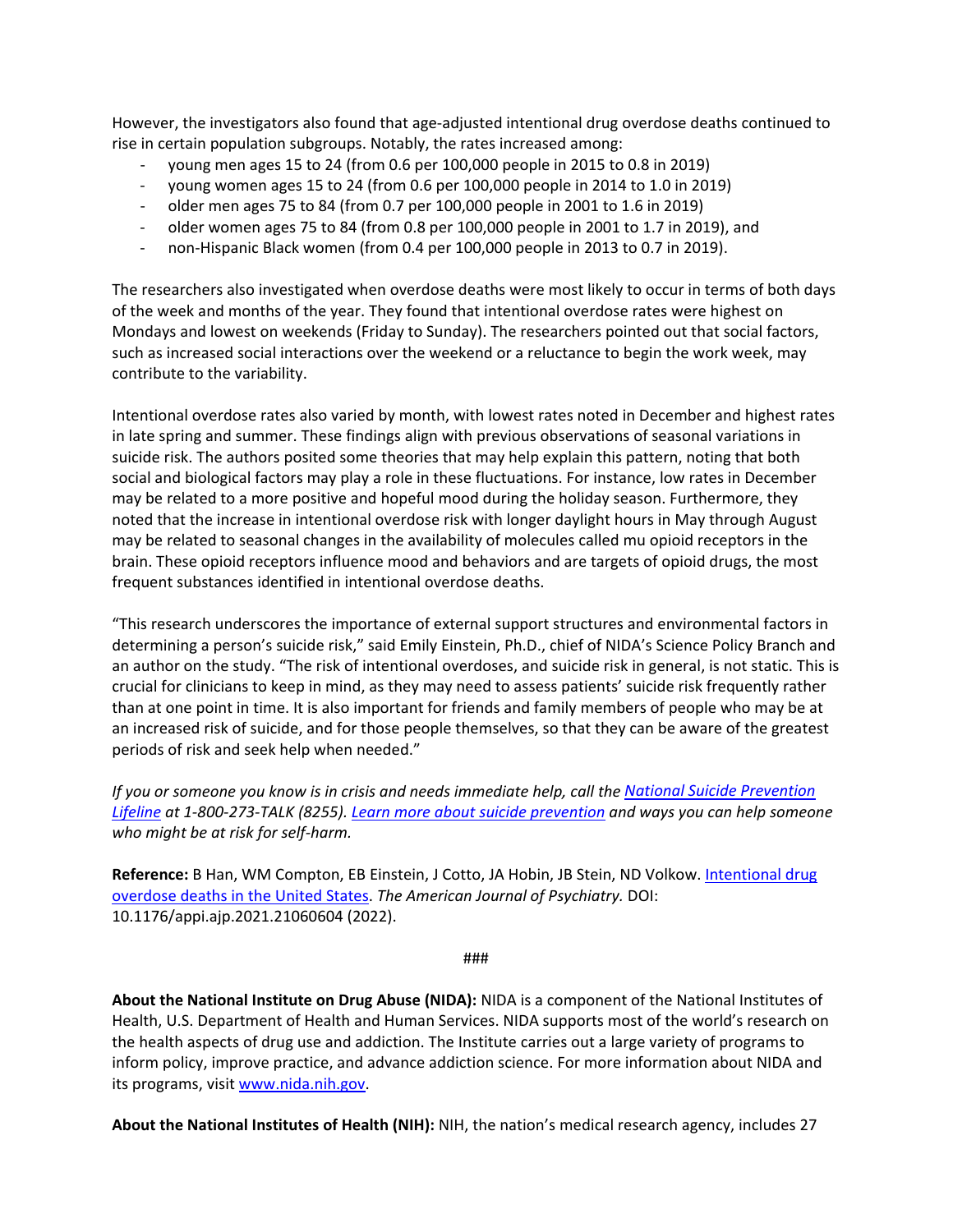However, the investigators also found that age-adjusted intentional drug overdose deaths continued to rise in certain population subgroups. Notably, the rates increased among:

- young men ages 15 to 24 (from 0.6 per 100,000 people in 2015 to 0.8 in 2019)
- young women ages 15 to 24 (from 0.6 per 100,000 people in 2014 to 1.0 in 2019)
- older men ages 75 to 84 (from 0.7 per 100,000 people in 2001 to 1.6 in 2019)
- older women ages 75 to 84 (from 0.8 per 100,000 people in 2001 to 1.7 in 2019), and
- non-Hispanic Black women (from 0.4 per 100,000 people in 2013 to 0.7 in 2019).

The researchers also investigated when overdose deaths were most likely to occur in terms of both days of the week and months of the year. They found that intentional overdose rates were highest on Mondays and lowest on weekends (Friday to Sunday). The researchers pointed out that social factors, such as increased social interactions over the weekend or a reluctance to begin the work week, may contribute to the variability.

Intentional overdose rates also varied by month, with lowest rates noted in December and highest rates in late spring and summer. These findings align with previous observations of seasonal variations in suicide risk. The authors posited some theories that may help explain this pattern, noting that both social and biological factors may play a role in these fluctuations. For instance, low rates in December may be related to a more positive and hopeful mood during the holiday season. Furthermore, they noted that the increase in intentional overdose risk with longer daylight hours in May through August may be related to seasonal changes in the availability of molecules called mu opioid receptors in the brain. These opioid receptors influence mood and behaviors and are targets of opioid drugs, the most frequent substances identified in intentional overdose deaths.

"This research underscores the importance of external support structures and environmental factors in determining a person's suicide risk," said Emily Einstein, Ph.D., chief of NIDA's Science Policy Branch and an author on the study. "The risk of intentional overdoses, and suicide risk in general, is not static. This is crucial for clinicians to keep in mind, as they may need to assess patients' suicide risk frequently rather than at one point in time. It is also important for friends and family members of people who may be at an increased risk of suicide, and for those people themselves, so that they can be aware of the greatest periods of risk and seek help when needed."

*If you or someone you know is in crisis and needs immediate help, call the [National Suicide Prevention](https://suicidepreventionlifeline.org/)  [Lifeline](https://suicidepreventionlifeline.org/) at 1-800-273-TALK (8255). [Learn more about suicide prevention](https://www.nimh.nih.gov/health/topics/suicide-prevention/) and ways you can help someone who might be at risk for self-harm.*

**Reference:** B Han, WM Compton, EB Einstein, J Cotto, JA Hobin, JB Stein, ND Volkow. [Intentional drug](https://ajp.psychiatryonline.org/doi/10.1176/appi.ajp.2021.21060604)  overdose deaths [in the United States.](https://ajp.psychiatryonline.org/doi/10.1176/appi.ajp.2021.21060604) *The American Journal of Psychiatry.* DOI: 10.1176/appi.ajp.2021.21060604 (2022).

###

**About the National Institute on Drug Abuse (NIDA):** NIDA is a component of the National Institutes of Health, U.S. Department of Health and Human Services. NIDA supports most of the world's research on the health aspects of drug use and addiction. The Institute carries out a large variety of programs to inform policy, improve practice, and advance addiction science. For more information about NIDA and its programs, visi[t www.nida.nih.gov.](http://www.nida.nih.gov/)

**About the National Institutes of Health (NIH):** NIH, the nation's medical research agency, includes 27